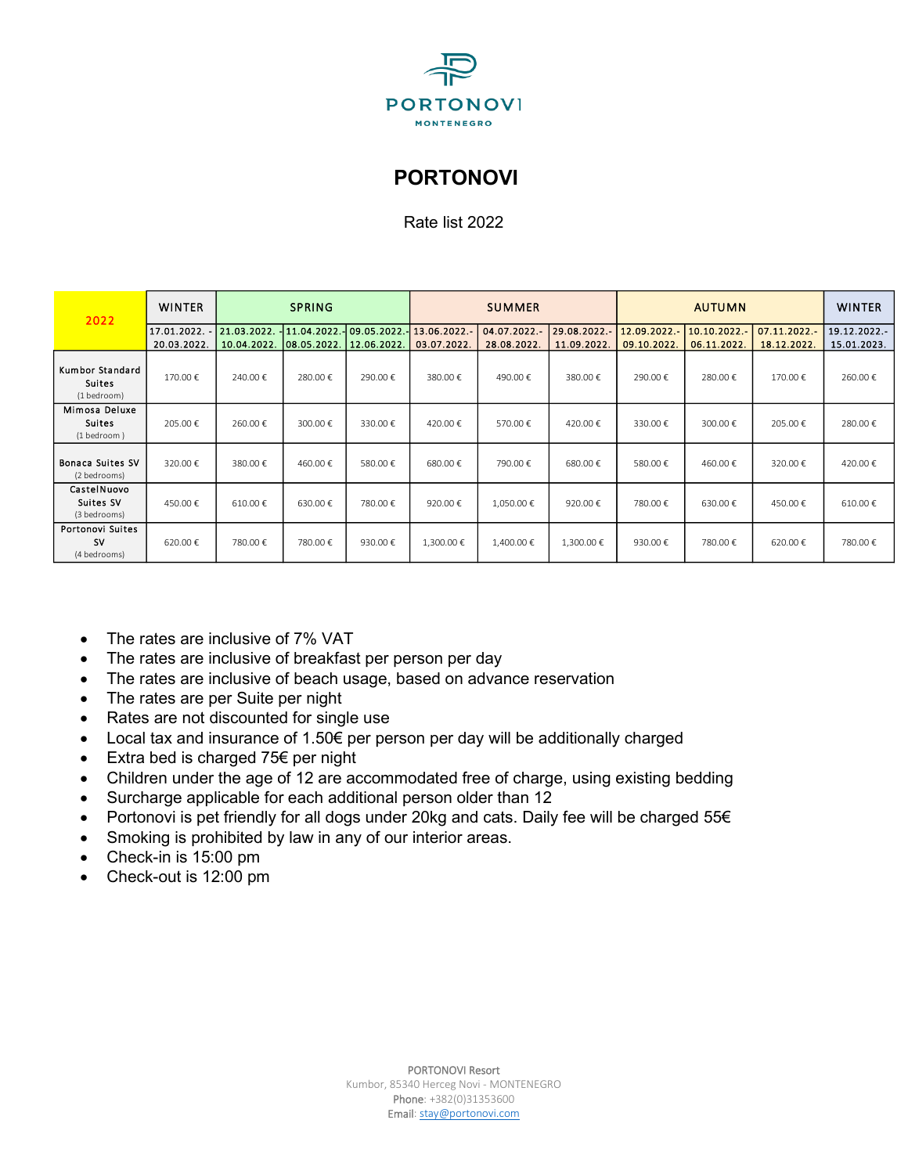

## **PORTONOVI**

Rate list 2022

| 2022                                            | <b>WINTER</b>           | <b>SPRING</b> |              |            | <b>SUMMER</b>           |              |              | <b>AUTUMN</b> |                |              | <b>WINTER</b> |
|-------------------------------------------------|-------------------------|---------------|--------------|------------|-------------------------|--------------|--------------|---------------|----------------|--------------|---------------|
|                                                 | 17.01.2022. 21.03.2022. |               | 11.04.2022.- |            | 09.05.2022. 13.06.2022. | 04.07.2022.- | 29.08.2022.- | 12.09.2022.-  | $10.10.2022 -$ | 07.11.2022.- | 19.12.2022.-  |
|                                                 | 20.03.2022.             | 10.04.2022.   | 08.05.2022.  | 12.06.2022 | 03.07.2022.             | 28.08.2022.  | 11.09.2022.  | 09.10.2022.   | 06.11.2022.    | 18.12.2022.  | 15.01.2023.   |
| Kumbor Standard<br><b>Suites</b><br>(1 bedroom) | 170.00€                 | 240.00€       | 280.00€      | 290.00€    | 380.00€                 | 490.00€      | 380.00€      | 290.00€       | 280.00€        | 170.00€      | 260.00€       |
| Mimosa Deluxe<br><b>Suites</b><br>(1 bedroom)   | 205.00€                 | 260.00€       | 300.00€      | 330.00€    | 420.00€                 | 570.00€      | 420.00€      | 330.00€       | 300.00€        | 205.00€      | 280.00€       |
| <b>Bonaca Suites SV</b><br>(2 bedrooms)         | 320.00€                 | 380.00€       | 460.00€      | 580.00€    | 680.00€                 | 790.00€      | 680.00€      | 580.00€       | 460.00€        | 320.00€      | 420.00€       |
| CastelNuovo<br>Suites SV<br>(3 bedrooms)        | 450.00€                 | 610.00€       | 630.00€      | 780.00€    | 920.00€                 | 1,050.00€    | 920.00€      | 780.00€       | 630.00€        | 450.00€      | 610.00€       |
| Portonovi Suites<br>sv<br>(4 bedrooms)          | 620.00€                 | 780.00€       | 780.00€      | 930.00€    | 1,300.00 €              | 1,400.00 €   | 1,300.00 €   | 930.00€       | 780.00€        | 620.00€      | 780.00€       |

- The rates are inclusive of 7% VAT
- The rates are inclusive of breakfast per person per day
- The rates are inclusive of beach usage, based on advance reservation
- The rates are per Suite per night
- Rates are not discounted for single use
- Local tax and insurance of 1.50€ per person per day will be additionally charged
- Extra bed is charged 75€ per night
- Children under the age of 12 are accommodated free of charge, using existing bedding
- Surcharge applicable for each additional person older than 12
- Portonovi is pet friendly for all dogs under 20kg and cats. Daily fee will be charged 55€
- Smoking is prohibited by law in any of our interior areas.
- Check-in is 15:00 pm
- Check-out is 12:00 pm

PORTONOVI Resort Kumbor, 85340 Herceg Novi - MONTENEGRO Phone: +382(0)31353600 Email[: stay@portonovi.com](mailto:stay@portonovi.com)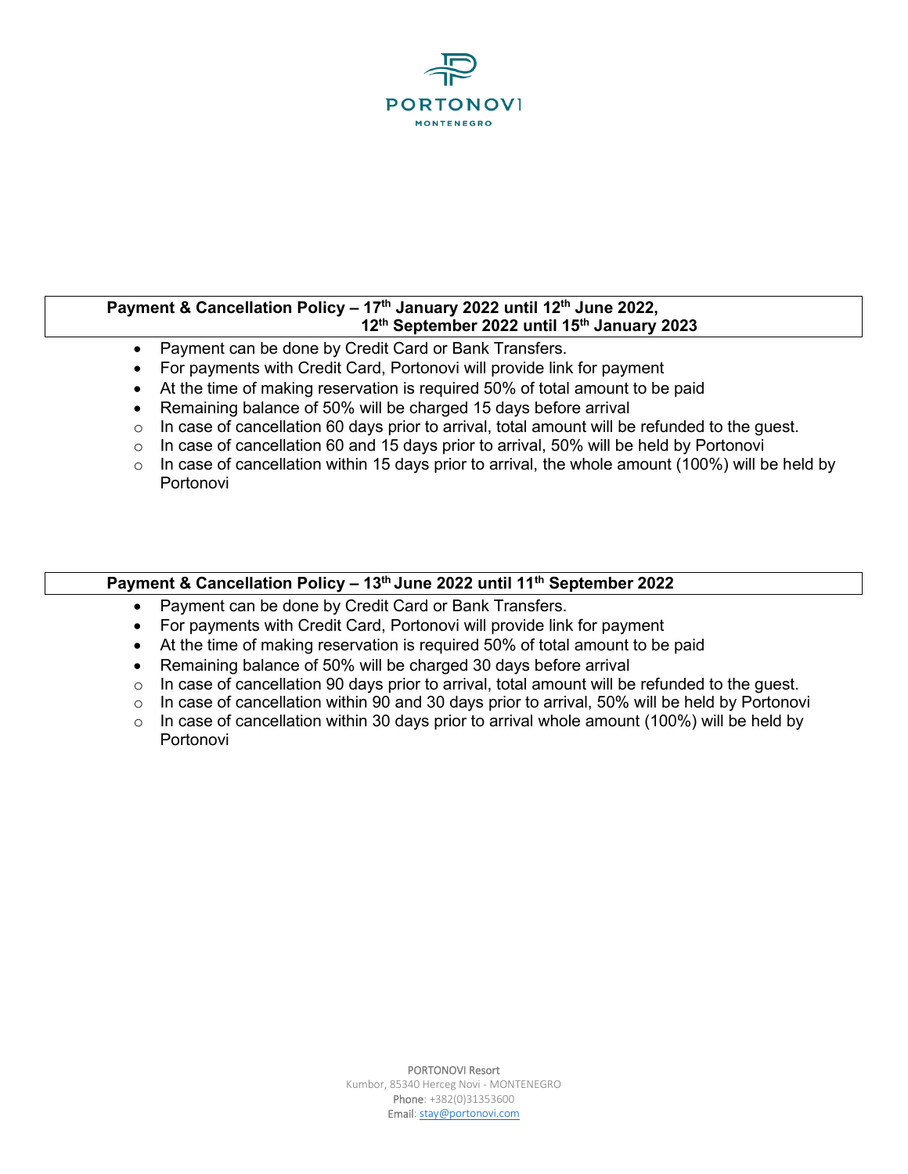

## **Payment & Cancellation Policy – 17th January 2022 until 12 th June 2022, 12 th September 2022 until 15 th January 2023**

- Payment can be done by Credit Card or Bank Transfers.
- For payments with Credit Card, Portonovi will provide link for payment
- At the time of making reservation is required 50% of total amount to be paid
- Remaining balance of 50% will be charged 15 days before arrival
- $\circ$  In case of cancellation 60 days prior to arrival, total amount will be refunded to the quest.
- $\circ$  In case of cancellation 60 and 15 days prior to arrival, 50% will be held by Portonovi
- $\circ$  In case of cancellation within 15 days prior to arrival, the whole amount (100%) will be held by Portonovi

## **Payment & Cancellation Policy – 13 th June 2022 until 11 th September 2022**

- Payment can be done by Credit Card or Bank Transfers.
- For payments with Credit Card, Portonovi will provide link for payment
- At the time of making reservation is required 50% of total amount to be paid
- Remaining balance of 50% will be charged 30 days before arrival
- $\circ$  In case of cancellation 90 days prior to arrival, total amount will be refunded to the quest.
- $\circ$  In case of cancellation within 90 and 30 days prior to arrival, 50% will be held by Portonovi
- $\circ$  In case of cancellation within 30 days prior to arrival whole amount (100%) will be held by Portonovi

PORTONOVI Resort Kumbor, 85340 Herceg Novi - MONTENEGRO Phone: +382(0)31353600 Email[: stay@portonovi.com](mailto:stay@portonovi.com)